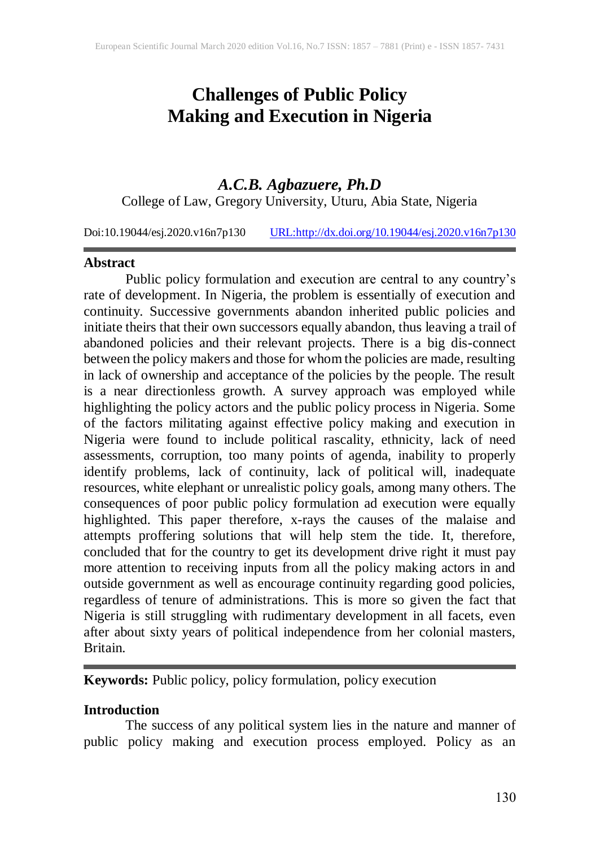# **Challenges of Public Policy Making and Execution in Nigeria**

# *A.C.B. Agbazuere, Ph.D*

College of Law, Gregory University, Uturu, Abia State, Nigeria

Doi:10.19044/esj.2020.v16n7p130 [URL:http://dx.doi.org/10.19044/esj.2020.v16n7p130](http://dx.doi.org/10.19044/esj.2020.v16n7p130)

#### **Abstract**

Public policy formulation and execution are central to any country's rate of development. In Nigeria, the problem is essentially of execution and continuity. Successive governments abandon inherited public policies and initiate theirs that their own successors equally abandon, thus leaving a trail of abandoned policies and their relevant projects. There is a big dis-connect between the policy makers and those for whom the policies are made, resulting in lack of ownership and acceptance of the policies by the people. The result is a near directionless growth. A survey approach was employed while highlighting the policy actors and the public policy process in Nigeria. Some of the factors militating against effective policy making and execution in Nigeria were found to include political rascality, ethnicity, lack of need assessments, corruption, too many points of agenda, inability to properly identify problems, lack of continuity, lack of political will, inadequate resources, white elephant or unrealistic policy goals, among many others. The consequences of poor public policy formulation ad execution were equally highlighted. This paper therefore, x-rays the causes of the malaise and attempts proffering solutions that will help stem the tide. It, therefore, concluded that for the country to get its development drive right it must pay more attention to receiving inputs from all the policy making actors in and outside government as well as encourage continuity regarding good policies, regardless of tenure of administrations. This is more so given the fact that Nigeria is still struggling with rudimentary development in all facets, even after about sixty years of political independence from her colonial masters, Britain.

**Keywords:** Public policy, policy formulation, policy execution

#### **Introduction**

The success of any political system lies in the nature and manner of public policy making and execution process employed. Policy as an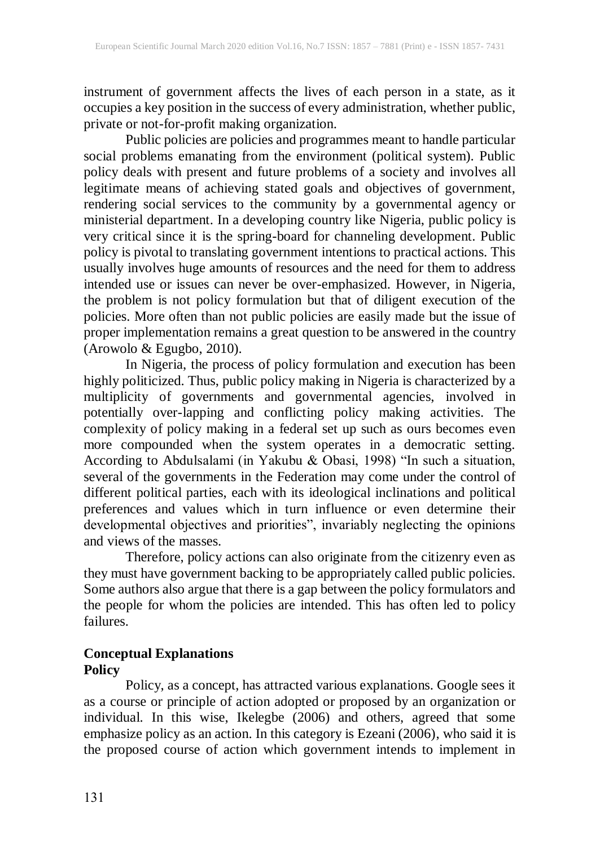instrument of government affects the lives of each person in a state, as it occupies a key position in the success of every administration, whether public, private or not-for-profit making organization.

Public policies are policies and programmes meant to handle particular social problems emanating from the environment (political system). Public policy deals with present and future problems of a society and involves all legitimate means of achieving stated goals and objectives of government, rendering social services to the community by a governmental agency or ministerial department. In a developing country like Nigeria, public policy is very critical since it is the spring-board for channeling development. Public policy is pivotal to translating government intentions to practical actions. This usually involves huge amounts of resources and the need for them to address intended use or issues can never be over-emphasized. However, in Nigeria, the problem is not policy formulation but that of diligent execution of the policies. More often than not public policies are easily made but the issue of proper implementation remains a great question to be answered in the country (Arowolo & Egugbo, 2010).

In Nigeria, the process of policy formulation and execution has been highly politicized. Thus, public policy making in Nigeria is characterized by a multiplicity of governments and governmental agencies, involved in potentially over-lapping and conflicting policy making activities. The complexity of policy making in a federal set up such as ours becomes even more compounded when the system operates in a democratic setting. According to Abdulsalami (in Yakubu & Obasi, 1998) "In such a situation, several of the governments in the Federation may come under the control of different political parties, each with its ideological inclinations and political preferences and values which in turn influence or even determine their developmental objectives and priorities", invariably neglecting the opinions and views of the masses.

Therefore, policy actions can also originate from the citizenry even as they must have government backing to be appropriately called public policies. Some authors also argue that there is a gap between the policy formulators and the people for whom the policies are intended. This has often led to policy failures.

#### **Conceptual Explanations Policy**

Policy, as a concept, has attracted various explanations. Google sees it as a course or principle of action adopted or proposed by an organization or individual. In this wise, Ikelegbe (2006) and others, agreed that some emphasize policy as an action. In this category is Ezeani (2006), who said it is the proposed course of action which government intends to implement in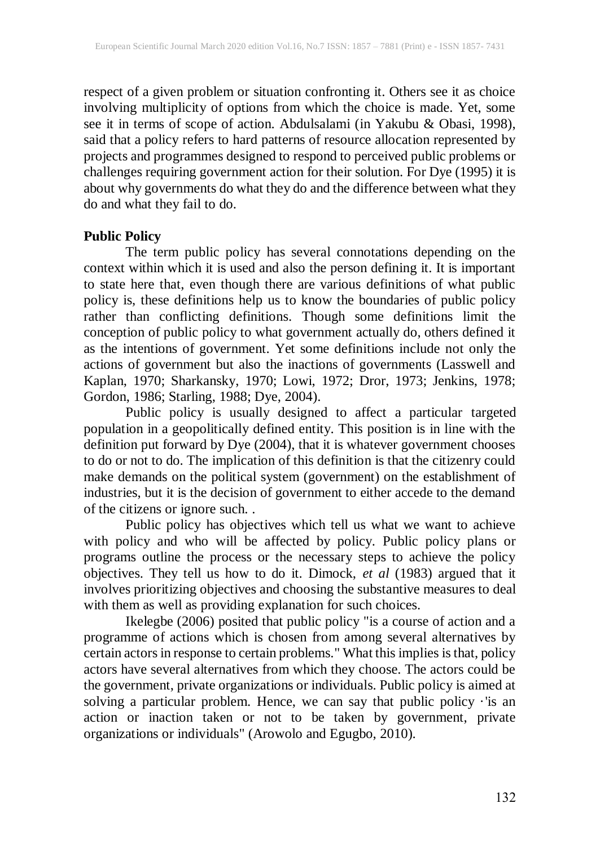respect of a given problem or situation confronting it. Others see it as choice involving multiplicity of options from which the choice is made. Yet, some see it in terms of scope of action. Abdulsalami (in Yakubu & Obasi, 1998), said that a policy refers to hard patterns of resource allocation represented by projects and programmes designed to respond to perceived public problems or challenges requiring government action for their solution. For Dye (1995) it is about why governments do what they do and the difference between what they do and what they fail to do.

#### **Public Policy**

The term public policy has several connotations depending on the context within which it is used and also the person defining it. It is important to state here that, even though there are various definitions of what public policy is, these definitions help us to know the boundaries of public policy rather than conflicting definitions. Though some definitions limit the conception of public policy to what government actually do, others defined it as the intentions of government. Yet some definitions include not only the actions of government but also the inactions of governments (Lasswell and Kaplan, 1970; Sharkansky, 1970; Lowi, 1972; Dror, 1973; Jenkins, 1978; Gordon, 1986; Starling, 1988; Dye, 2004).

Public policy is usually designed to affect a particular targeted population in a geopolitically defined entity. This position is in line with the definition put forward by Dye (2004), that it is whatever government chooses to do or not to do. The implication of this definition is that the citizenry could make demands on the political system (government) on the establishment of industries, but it is the decision of government to either accede to the demand of the citizens or ignore such. .

Public policy has objectives which tell us what we want to achieve with policy and who will be affected by policy. Public policy plans or programs outline the process or the necessary steps to achieve the policy objectives. They tell us how to do it. Dimock, *et al* (1983) argued that it involves prioritizing objectives and choosing the substantive measures to deal with them as well as providing explanation for such choices.

Ikelegbe (2006) posited that public policy "is a course of action and a programme of actions which is chosen from among several alternatives by certain actors in response to certain problems." What this implies is that, policy actors have several alternatives from which they choose. The actors could be the government, private organizations or individuals. Public policy is aimed at solving a particular problem. Hence, we can say that public policy ·'is an action or inaction taken or not to be taken by government, private organizations or individuals" (Arowolo and Egugbo, 2010).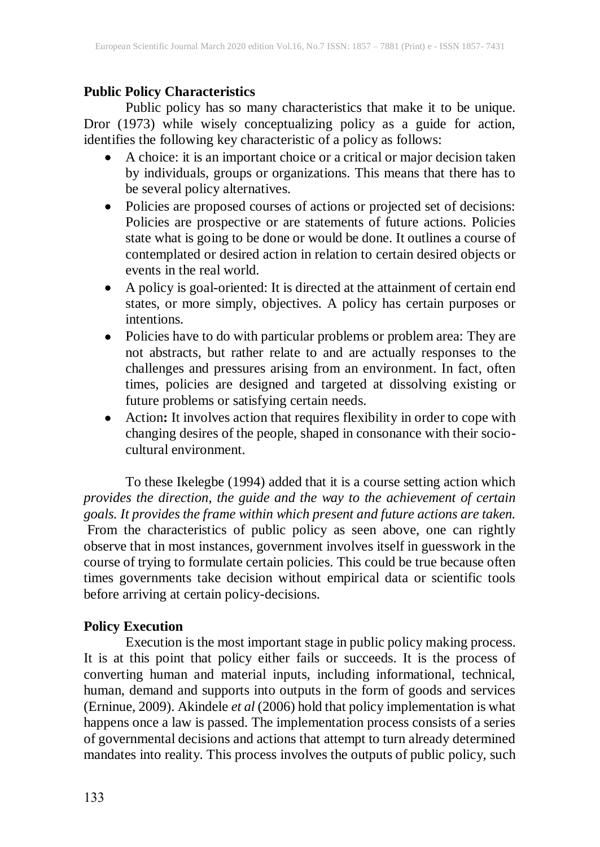### **Public Policy Characteristics**

Public policy has so many characteristics that make it to be unique. Dror (1973) while wisely conceptualizing policy as a guide for action, identifies the following key characteristic of a policy as follows:

- A choice: it is an important choice or a critical or major decision taken by individuals, groups or organizations. This means that there has to be several policy alternatives.
- Policies are proposed courses of actions or projected set of decisions: Policies are prospective or are statements of future actions. Policies state what is going to be done or would be done. It outlines a course of contemplated or desired action in relation to certain desired objects or events in the real world.
- A policy is goal-oriented: It is directed at the attainment of certain end states, or more simply, objectives. A policy has certain purposes or intentions.
- Policies have to do with particular problems or problem area: They are not abstracts, but rather relate to and are actually responses to the challenges and pressures arising from an environment. In fact, often times, policies are designed and targeted at dissolving existing or future problems or satisfying certain needs.
- Action**:** It involves action that requires flexibility in order to cope with changing desires of the people, shaped in consonance with their sociocultural environment*.*

To these Ikelegbe (1994) added that it is a course setting action which *provides the direction, the guide and the way to the achievement of certain goals. It provides the frame within which present and future actions are taken.* From the characteristics of public policy as seen above, one can rightly observe that in most instances, government involves itself in guesswork in the course of trying to formulate certain policies. This could be true because often times governments take decision without empirical data or scientific tools before arriving at certain policy-decisions.

# **Policy Execution**

Execution is the most important stage in public policy making process. It is at this point that policy either fails or succeeds. It is the process of converting human and material inputs, including informational, technical, human, demand and supports into outputs in the form of goods and services (Erninue, 2009). Akindele *et al* (2006) hold that policy implementation is what happens once a law is passed. The implementation process consists of a series of governmental decisions and actions that attempt to turn already determined mandates into reality. This process involves the outputs of public policy, such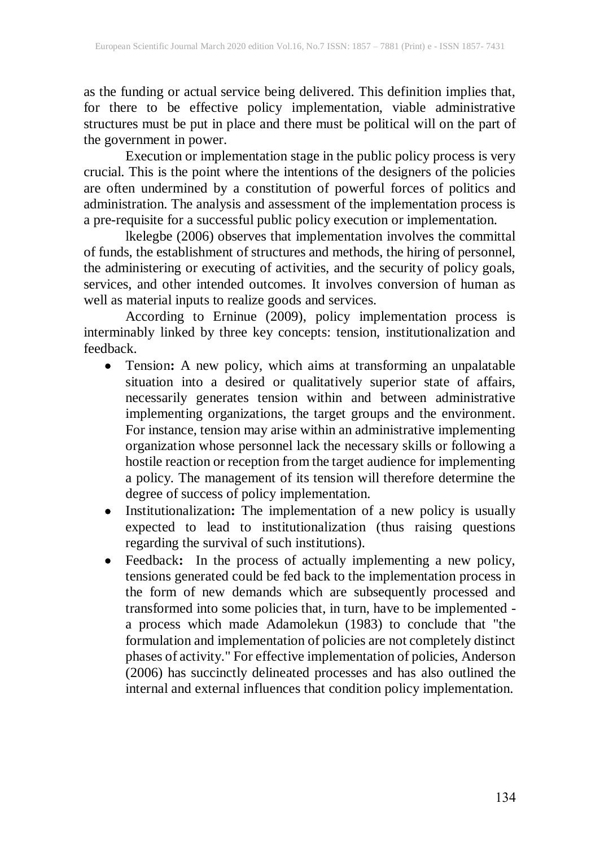as the funding or actual service being delivered. This definition implies that, for there to be effective policy implementation, viable administrative structures must be put in place and there must be political will on the part of the government in power.

Execution or implementation stage in the public policy process is very crucial. This is the point where the intentions of the designers of the policies are often undermined by a constitution of powerful forces of politics and administration. The analysis and assessment of the implementation process is a pre-requisite for a successful public policy execution or implementation.

lkelegbe (2006) observes that implementation involves the committal of funds, the establishment of structures and methods, the hiring of personnel, the administering or executing of activities, and the security of policy goals, services, and other intended outcomes. It involves conversion of human as well as material inputs to realize goods and services.

According to Erninue (2009), policy implementation process is interminably linked by three key concepts: tension, institutionalization and feedback.

- Tension**:** A new policy, which aims at transforming an unpalatable situation into a desired or qualitatively superior state of affairs, necessarily generates tension within and between administrative implementing organizations, the target groups and the environment. For instance, tension may arise within an administrative implementing organization whose personnel lack the necessary skills or following a hostile reaction or reception from the target audience for implementing a policy. The management of its tension will therefore determine the degree of success of policy implementation.
- Institutionalization: The implementation of a new policy is usually expected to lead to institutionalization (thus raising questions regarding the survival of such institutions).
- Feedback**:** In the process of actually implementing a new policy, tensions generated could be fed back to the implementation process in the form of new demands which are subsequently processed and transformed into some policies that, in turn, have to be implemented a process which made Adamolekun (1983) to conclude that "the formulation and implementation of policies are not completely distinct phases of activity." For effective implementation of policies, Anderson (2006) has succinctly delineated processes and has also outlined the internal and external influences that condition policy implementation.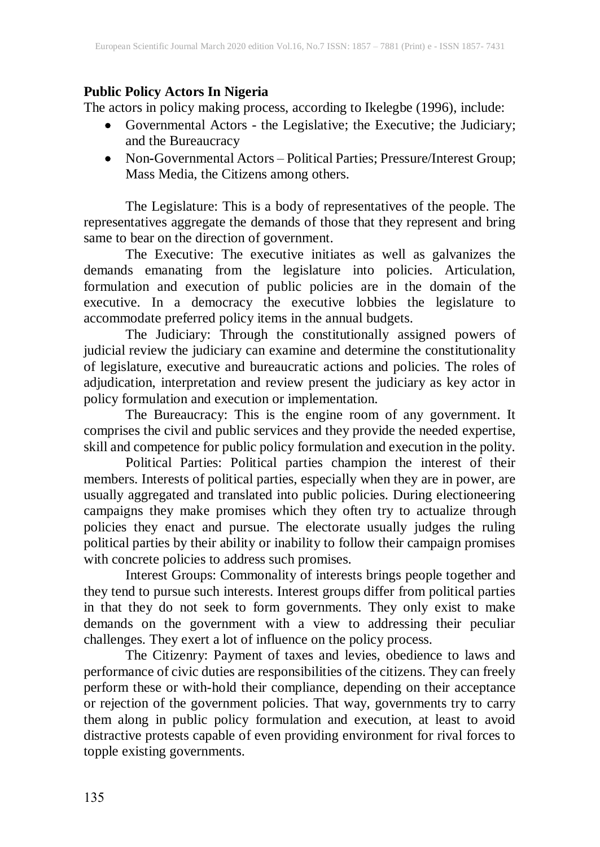# **Public Policy Actors In Nigeria**

The actors in policy making process, according to Ikelegbe (1996), include:

- Governmental Actors the Legislative; the Executive; the Judiciary; and the Bureaucracy
- Non*-*Governmental Actors Political Parties; Pressure/Interest Group; Mass Media, the Citizens among others.

The Legislature: This is a body of representatives of the people. The representatives aggregate the demands of those that they represent and bring same to bear on the direction of government.

The Executive: The executive initiates as well as galvanizes the demands emanating from the legislature into policies. Articulation, formulation and execution of public policies are in the domain of the executive. In a democracy the executive lobbies the legislature to accommodate preferred policy items in the annual budgets.

The Judiciary: Through the constitutionally assigned powers of judicial review the judiciary can examine and determine the constitutionality of legislature, executive and bureaucratic actions and policies. The roles of adjudication, interpretation and review present the judiciary as key actor in policy formulation and execution or implementation.

The Bureaucracy: This is the engine room of any government. It comprises the civil and public services and they provide the needed expertise, skill and competence for public policy formulation and execution in the polity.

Political Parties: Political parties champion the interest of their members. Interests of political parties, especially when they are in power, are usually aggregated and translated into public policies. During electioneering campaigns they make promises which they often try to actualize through policies they enact and pursue. The electorate usually judges the ruling political parties by their ability or inability to follow their campaign promises with concrete policies to address such promises.

Interest Groups: Commonality of interests brings people together and they tend to pursue such interests. Interest groups differ from political parties in that they do not seek to form governments. They only exist to make demands on the government with a view to addressing their peculiar challenges. They exert a lot of influence on the policy process.

The Citizenry: Payment of taxes and levies, obedience to laws and performance of civic duties are responsibilities of the citizens. They can freely perform these or with-hold their compliance, depending on their acceptance or rejection of the government policies. That way, governments try to carry them along in public policy formulation and execution, at least to avoid distractive protests capable of even providing environment for rival forces to topple existing governments.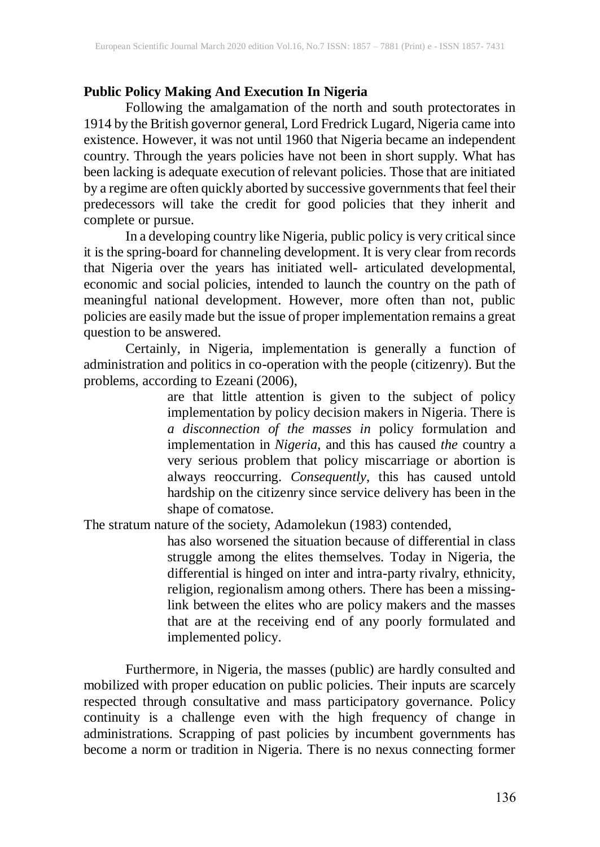### **Public Policy Making And Execution In Nigeria**

Following the amalgamation of the north and south protectorates in 1914 by the British governor general, Lord Fredrick Lugard, Nigeria came into existence. However, it was not until 1960 that Nigeria became an independent country. Through the years policies have not been in short supply. What has been lacking is adequate execution of relevant policies. Those that are initiated by a regime are often quickly aborted by successive governments that feel their predecessors will take the credit for good policies that they inherit and complete or pursue.

In a developing country like Nigeria, public policy is very critical since it is the spring-board for channeling development. It is very clear from records that Nigeria over the years has initiated well- articulated developmental, economic and social policies, intended to launch the country on the path of meaningful national development. However, more often than not, public policies are easily made but the issue of proper implementation remains a great question to be answered.

Certainly, in Nigeria, implementation is generally a function of administration and politics in co-operation with the people (citizenry). But the problems, according to Ezeani (2006),

> are that little attention is given to the subject of policy implementation by policy decision makers in Nigeria. There is *a disconnection of the masses in* policy formulation and implementation in *Nigeria*, and this has caused *the* country a very serious problem that policy miscarriage or abortion is always reoccurring. *Consequently*, this has caused untold hardship on the citizenry since service delivery has been in the shape of comatose.

The stratum nature of the society, Adamolekun (1983) contended,

has also worsened the situation because of differential in class struggle among the elites themselves. Today in Nigeria, the differential is hinged on inter and intra-party rivalry, ethnicity, religion, regionalism among others. There has been a missinglink between the elites who are policy makers and the masses that are at the receiving end of any poorly formulated and implemented policy.

Furthermore, in Nigeria, the masses (public) are hardly consulted and mobilized with proper education on public policies. Their inputs are scarcely respected through consultative and mass participatory governance. Policy continuity is a challenge even with the high frequency of change in administrations. Scrapping of past policies by incumbent governments has become a norm or tradition in Nigeria. There is no nexus connecting former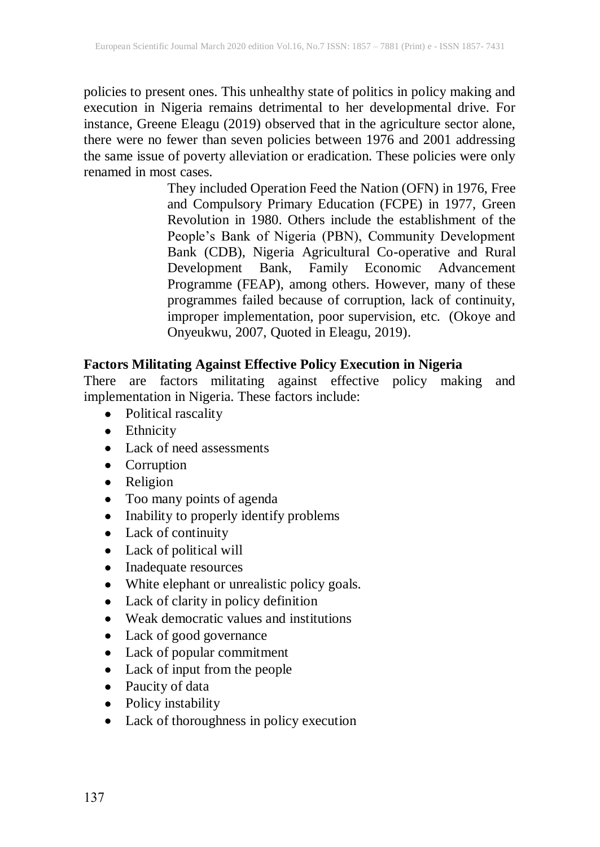policies to present ones. This unhealthy state of politics in policy making and execution in Nigeria remains detrimental to her developmental drive. For instance, Greene Eleagu (2019) observed that in the agriculture sector alone, there were no fewer than seven policies between 1976 and 2001 addressing the same issue of poverty alleviation or eradication. These policies were only renamed in most cases.

> They included Operation Feed the Nation (OFN) in 1976, Free and Compulsory Primary Education (FCPE) in 1977, Green Revolution in 1980. Others include the establishment of the People's Bank of Nigeria (PBN), Community Development Bank (CDB), Nigeria Agricultural Co-operative and Rural Development Bank, Family Economic Advancement Programme (FEAP), among others. However, many of these programmes failed because of corruption, lack of continuity, improper implementation, poor supervision, etc. (Okoye and Onyeukwu, 2007, Quoted in Eleagu, 2019).

### **Factors Militating Against Effective Policy Execution in Nigeria**

There are factors militating against effective policy making and implementation in Nigeria. These factors include:

- Political rascality
- Ethnicity
- Lack of need assessments
- Corruption
- Religion
- Too many points of agenda
- Inability to properly identify problems
- Lack of continuity
- Lack of political will
- Inadequate resources
- White elephant or unrealistic policy goals.
- Lack of clarity in policy definition
- Weak democratic values and institutions
- Lack of good governance
- Lack of popular commitment
- Lack of input from the people
- Paucity of data
- Policy instability
- Lack of thoroughness in policy execution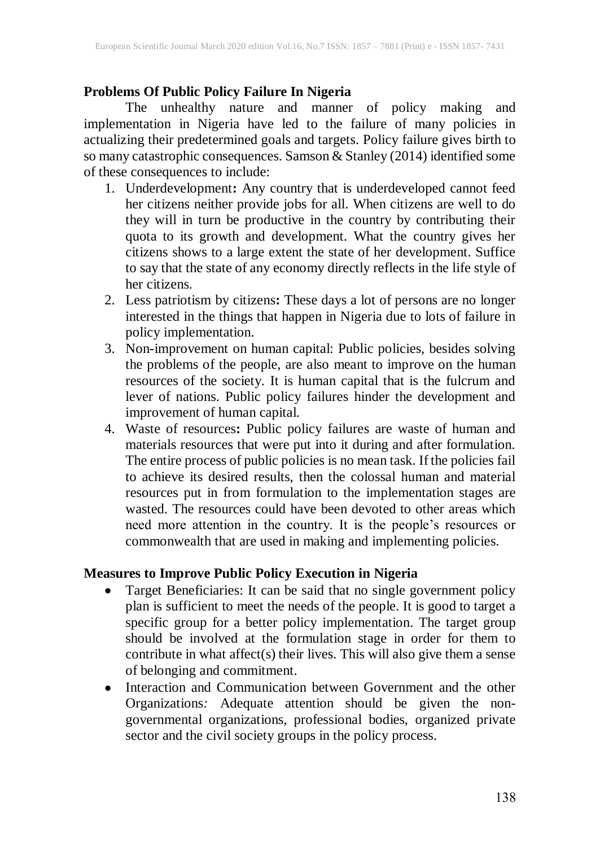# **Problems Of Public Policy Failure In Nigeria**

The unhealthy nature and manner of policy making and implementation in Nigeria have led to the failure of many policies in actualizing their predetermined goals and targets. Policy failure gives birth to so many catastrophic consequences. Samson & Stanley (2014) identified some of these consequences to include:

- 1. Underdevelopment**:** Any country that is underdeveloped cannot feed her citizens neither provide jobs for all. When citizens are well to do they will in turn be productive in the country by contributing their quota to its growth and development. What the country gives her citizens shows to a large extent the state of her development. Suffice to say that the state of any economy directly reflects in the life style of her citizens.
- 2. Less patriotism by citizens**:** These days a lot of persons are no longer interested in the things that happen in Nigeria due to lots of failure in policy implementation.
- 3. Non-improvement on human capital: Public policies, besides solving the problems of the people, are also meant to improve on the human resources of the society. It is human capital that is the fulcrum and lever of nations. Public policy failures hinder the development and improvement of human capital.
- 4. Waste of resources**:** Public policy failures are waste of human and materials resources that were put into it during and after formulation. The entire process of public policies is no mean task. If the policies fail to achieve its desired results, then the colossal human and material resources put in from formulation to the implementation stages are wasted. The resources could have been devoted to other areas which need more attention in the country. It is the people's resources or commonwealth that are used in making and implementing policies.

### **Measures to Improve Public Policy Execution in Nigeria**

- Target Beneficiaries: It can be said that no single government policy plan is sufficient to meet the needs of the people. It is good to target a specific group for a better policy implementation. The target group should be involved at the formulation stage in order for them to contribute in what affect(s) their lives. This will also give them a sense of belonging and commitment.
- Interaction and Communication between Government and the other Organizations*:* Adequate attention should be given the nongovernmental organizations, professional bodies, organized private sector and the civil society groups in the policy process*.*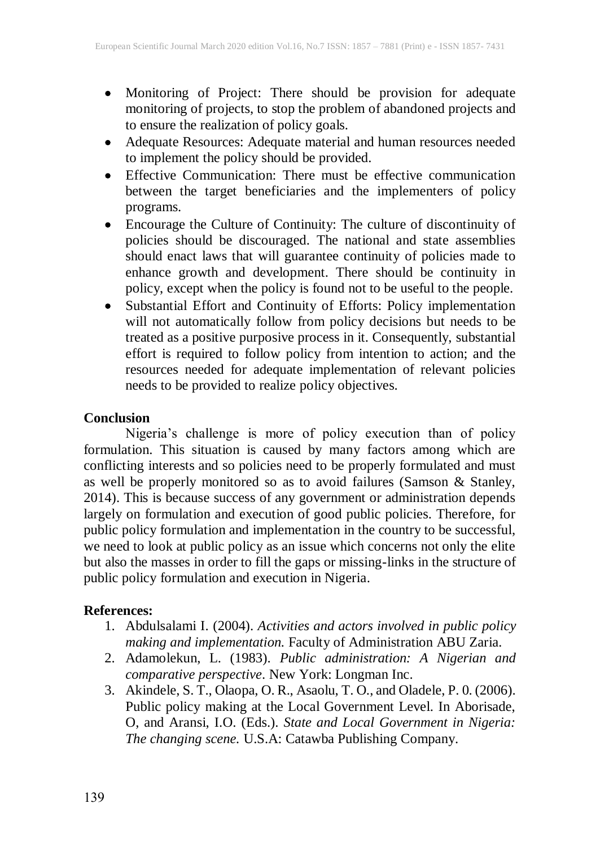- Monitoring of Project: There should be provision for adequate monitoring of projects, to stop the problem of abandoned projects and to ensure the realization of policy goals.
- Adequate Resources: Adequate material and human resources needed to implement the policy should be provided.
- Effective Communication: There must be effective communication between the target beneficiaries and the implementers of policy programs.
- Encourage the Culture of Continuity: The culture of discontinuity of policies should be discouraged. The national and state assemblies should enact laws that will guarantee continuity of policies made to enhance growth and development. There should be continuity in policy, except when the policy is found not to be useful to the people.
- Substantial Effort and Continuity of Efforts: Policy implementation will not automatically follow from policy decisions but needs to be treated as a positive purposive process in it. Consequently, substantial effort is required to follow policy from intention to action; and the resources needed for adequate implementation of relevant policies needs to be provided to realize policy objectives.

### **Conclusion**

Nigeria's challenge is more of policy execution than of policy formulation. This situation is caused by many factors among which are conflicting interests and so policies need to be properly formulated and must as well be properly monitored so as to avoid failures (Samson & Stanley, 2014). This is because success of any government or administration depends largely on formulation and execution of good public policies. Therefore, for public policy formulation and implementation in the country to be successful, we need to look at public policy as an issue which concerns not only the elite but also the masses in order to fill the gaps or missing-links in the structure of public policy formulation and execution in Nigeria.

# **References:**

- 1. Abdulsalami I. (2004). *Activities and actors involved in public policy making and implementation.* Faculty of Administration ABU Zaria*.*
- 2. Adamolekun, L. (1983). *Public administration: A Nigerian and comparative perspective*. New York: Longman Inc.
- 3. Akindele, S. T., Olaopa, O. R., Asaolu, T. O., and Oladele, P. 0. (2006). Public policy making at the Local Government Level. In Aborisade, O, and Aransi, I.O. (Eds.). *State and Local Government in Nigeria: The changing scene.* U.S.A: Catawba Publishing Company.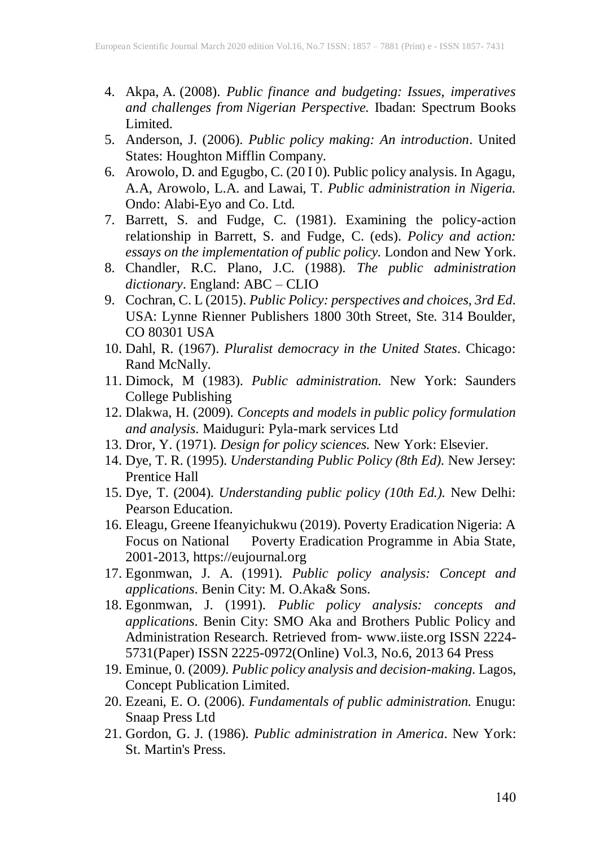- 4. Akpa, A. (2008). *Public finance and budgeting: Issues, imperatives and challenges from Nigerian Perspective.* Ibadan: Spectrum Books Limited.
- 5. Anderson, J. (2006). *Public policy making: An introduction*. United States: Houghton Mifflin Company.
- 6. Arowolo, D. and Egugbo, C. (20 I 0). Public policy analysis. In Agagu, A.A, Arowolo, L.A. and Lawai, T. *Public administration in Nigeria.* Ondo: Alabi-Eyo and Co. Ltd.
- 7. Barrett, S. and Fudge, C. (1981). Examining the policy-action relationship in Barrett, S. and Fudge, C. (eds). *Policy and action: essays on the implementation of public policy.* London and New York.
- 8. Chandler, R.C. Plano, J.C. (1988). *The public administration dictionary*. England: ABC – CLIO
- 9. Cochran, C. L (2015). *Public Policy: perspectives and choices, 3rd Ed*. USA: Lynne Rienner Publishers 1800 30th Street, Ste. 314 Boulder, CO 80301 USA
- 10. Dahl, R. (1967). *Pluralist democracy in the United States*. Chicago: Rand McNally.
- 11. Dimock, M (1983). *Public administration.* New York: Saunders College Publishing
- 12. Dlakwa, H. (2009). *Concepts and models in public policy formulation and analysis*. Maiduguri: Pyla-mark services Ltd
- 13. Dror, Y. (1971). *Design for policy sciences.* New York: Elsevier.
- 14. Dye, T. R. (1995). *Understanding Public Policy (8th Ed).* New Jersey: Prentice Hall
- 15. Dye, T. (2004). *Understanding public policy (10th Ed.).* New Delhi: Pearson Education.
- 16. Eleagu, Greene Ifeanyichukwu (2019). Poverty Eradication Nigeria: A Focus on National Poverty Eradication Programme in Abia State, 2001-2013, https://eujournal.org
- 17. Egonmwan, J. A. (1991). *Public policy analysis: Concept and applications*. Benin City: M. O.Aka& Sons.
- 18. Egonmwan, J. (1991). *Public policy analysis: concepts and applications*. Benin City: SMO Aka and Brothers Public Policy and Administration Research. Retrieved from- www.iiste.org ISSN 2224- 5731(Paper) ISSN 2225-0972(Online) Vol.3, No.6, 2013 64 Press
- 19. Eminue, 0. (2009*). Public policy analysis and decision-making.* Lagos, Concept Publication Limited.
- 20. Ezeani, E. O. (2006). *Fundamentals of public administration.* Enugu: Snaap Press Ltd
- 21. Gordon, G. J. (1986). *Public administration in America*. New York: St. Martin's Press.